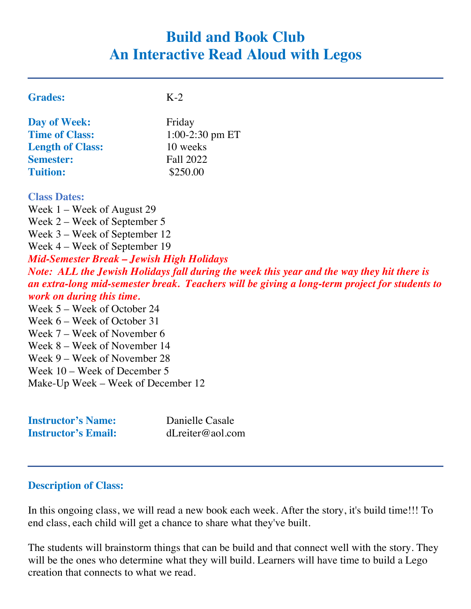# **Build and Book Club An Interactive Read Aloud with Legos**

| <b>Grades:</b>          | $K-2$           |
|-------------------------|-----------------|
| <b>Day of Week:</b>     | Friday          |
| <b>Time of Class:</b>   | 1:00-2:30 pm ET |
| <b>Length of Class:</b> | 10 weeks        |
| <b>Semester:</b>        | Fall 2022       |
| <b>Tuition:</b>         | \$250.00        |
| <b>Class Dates:</b>     |                 |

Week 1 – Week of August 29 Week 2 – Week of September 5 Week 3 – Week of September 12 Week 4 – Week of September 19 *Mid-Semester Break – Jewish High Holidays Note: ALL the Jewish Holidays fall during the week this year and the way they hit there is an extra-long mid-semester break. Teachers will be giving a long-term project for students to work on during this time.* Week 5 – Week of October 24 Week 6 – Week of October 31 Week 7 – Week of November 6 Week 8 – Week of November 14 Week 9 – Week of November 28 Week 10 – Week of December 5 Make-Up Week – Week of December 12

| <b>Instructor's Name:</b>  | Danielle Casale  |
|----------------------------|------------------|
| <b>Instructor's Email:</b> | dLreiter@aol.com |

## **Description of Class:**

In this ongoing class, we will read a new book each week. After the story, it's build time!!! To end class, each child will get a chance to share what they've built.

The students will brainstorm things that can be build and that connect well with the story. They will be the ones who determine what they will build. Learners will have time to build a Lego creation that connects to what we read.